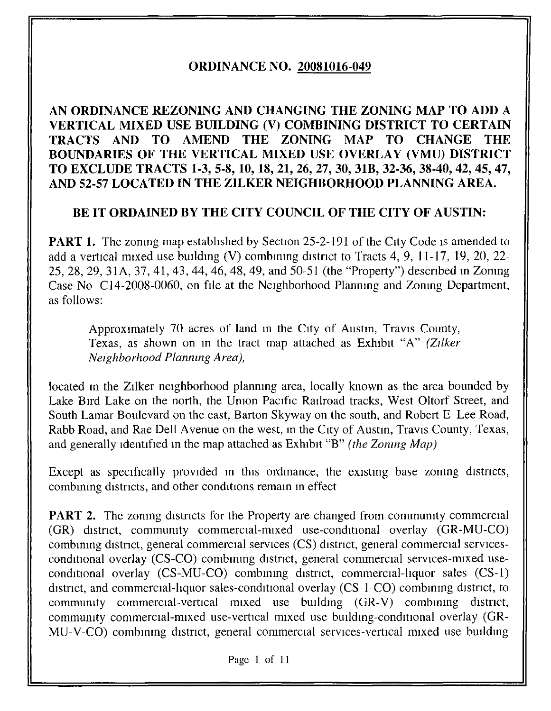# **ORDINANCE NO. 20081016-049**

# **AN ORDINANCE REZONING AND CHANGING THE ZONING MAP TO ADD A VERTICAL MIXED USE BUILDING (V) COMBINING DISTRICT TO CERTAIN TRACTS AND TO AMEND THE ZONING MAP TO CHANGE THE BOUNDARIES OF THE VERTICAL MIXED USE OVERLAY (VMU) DISTRICT TO EXCLUDE TRACTS 1-3, 5-8, 10, 18, 21, 26, 27, 30, 31B, 32-36, 38-40, 42, 45, 47, AND 52-57 LOCATED IN THE ZILKER NEIGHBORHOOD PLANNING AREA.**

# **BE IT ORDAINED BY THE CITY COUNCIL OF THE CITY OF AUSTIN:**

**PART 1.** The zoning map established by Section 25-2-191 of the City Code is amended to add a vertical mixed use building (V) combining district to Tracts 4, 9, 11-17, 19, 20, 22-25,28,29, 31A, 37, 41, 43, 44, 46, 48, 49, and 50-51 (the "Property") descnbed m Zomng Case No Cl4-2008-0060, on file at the Neighborhood Planmng and Zonmg Department, as follows:

Approximately 70 acres of land in the City of Austin, Travis County, Texas, as shown on m the tract map attached as Exhibit "A" *(Ztlker Netghborhood Planmng Area),* 

located in the Zilker neighborhood planning area, locally known as the area bounded by Lake Bird Lake on the north, the Umon Pacific Railroad tracks, West Oltorf Street, and South Lamar Boulevard on the east, Barton Skyway on the south, and Robert E Lee Road, Rabb Road, and Rae Dell Avenue on the west, in the City of Austin, Travis County, Texas, and generally identified in the map attached as Exhibit "B" *(the Zoning Map)* 

Except as specifically provided in this ordinance, the existing base zoning districts, combining districts, and other conditions remain in effect

**PART 2.** The zoning districts for the Property are changed from community commercial  $(GR)$  district, community commercial-mixed use-conditional overlay  $(GR-MU-CO)$ combining district, general commercial services (CS) district, general commercial servicesconditional overlay (CS-CO) combining district, general commercial services-mixed useconditional overlay  $(CS-MU-CO)$  combining district, commercial-liquor sales  $(CS-1)$ district, and commercial-liquor sales-conditional overlay (CS-1-CO) combining district, to community commercial-vertical mixed use building (GR-V) combining district, community commercial-mixed use-vertical mixed use building-conditional overlay (GR-MU-V-CO) combining district, general commercial services-vertical mixed use building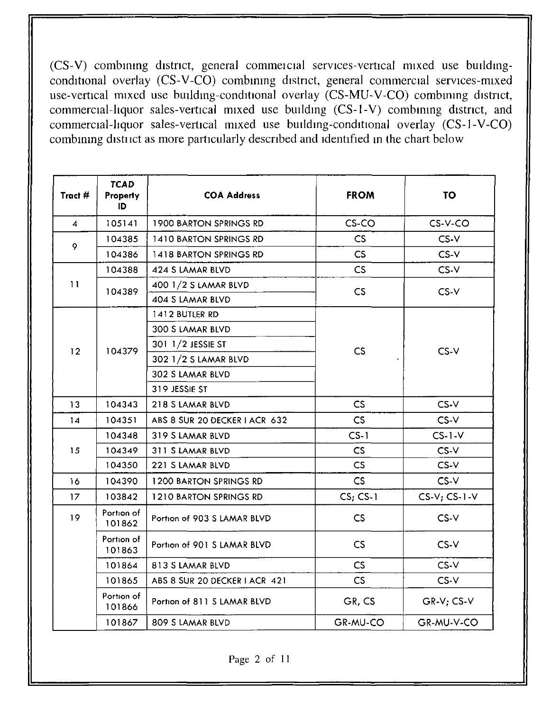$(CS-V)$  combining district, general commercial services-vertical mixed use buildingconditional overlay (CS-V-CO) combining district, general commercial services-mixed use-vertical mixed use building-conditional overlay (CS-MU-V-CO) combining district, commercial-liquor sales-vertical mixed use building (CS-1-V) combining district, and commercial-liquor sales-vertical mixed use building-conditional overlay (CS-1-V-CO) combining district as more particularly described and identified in the chart below

| Tract #        | <b>TCAD</b><br>Property<br>ID | <b>COA Address</b>            | <b>FROM</b>   | <b>TO</b>         |
|----------------|-------------------------------|-------------------------------|---------------|-------------------|
| $\overline{4}$ | 105141                        | <b>1900 BARTON SPRINGS RD</b> | CS-CO         | $CS-V-CO$         |
|                | 104385                        | 1410 BARTON SPRINGS RD        | CS            | $CS-V$            |
| 9              | 104386                        | 1418 BARTON SPRINGS RD        | CS            | $CS-V$            |
|                | 104388                        | CS<br>424 S LAMAR BLVD        |               | CS-V              |
| 11             |                               | 400 1/2 S LAMAR BLVD          | CS            | $CS-V$            |
|                | 104389                        | 404 S LAMAR BLVD              |               |                   |
|                |                               | 1412 BUTLER RD                |               |                   |
|                |                               | 300 S LAMAR BLVD              |               |                   |
| 12             | 104379                        | 301 1/2 JESSIE ST             | CS            |                   |
|                |                               | 302 1/2 S LAMAR BLVD          |               | $CS-V$            |
|                |                               | 302 S LAMAR BLVD              |               |                   |
|                |                               | 319 JESSIE ST                 |               |                   |
| 13             | 104343                        | 218 S LAMAR BLVD              | CS.           | $CS-V$            |
| 14             | 104351                        | ABS 8 SUR 20 DECKER I ACR 632 | CS            | $CS-V$            |
|                | 104348                        | 319 S LAMAR BLVD              | $CS-1$        | $CS-1-V$          |
| 15             | 104349                        | 311 S LAMAR BLVD              | $\mathsf{CS}$ | $CS-V$            |
|                | 104350                        | 221 S LAMAR BLVD              | CS            | $CS-V$            |
| 16             | 104390                        | 1200 BARTON SPRINGS RD        | CS            | $CS-V$            |
| 17             | 103842                        | 1210 BARTON SPRINGS RD        | $CS; CS-1$    | $CS-V$ ; $CS-1-V$ |
| 19             | Portion of<br>101862          | Portion of 903 S LAMAR BLVD   | CS            | $CS-V$            |
|                | Portion of<br>101863          | Portion of 901 S LAMAR BLVD   | <b>CS</b>     | $CS-V$            |
|                | 101864                        | 813 S LAMAR BLVD              | CS            | $CS-V$            |
|                | 101865                        | ABS 8 SUR 20 DECKER I ACR 421 | CS            | $CS-V$            |
|                | Portion of<br>101866          | Portion of 811 S LAMAR BLVD   | GR, CS        | GR-V; CS-V        |
|                | 101867                        | 809 S LAMAR BLVD              | GR-MU-CO      | GR-MU-V-CO        |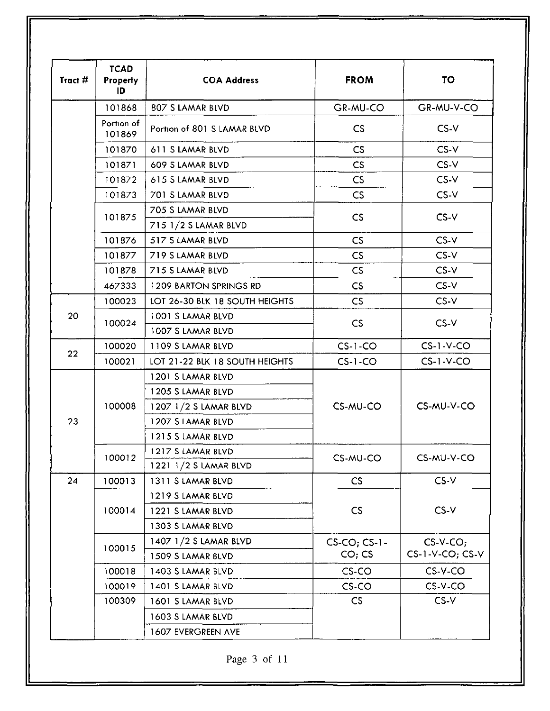| <b>TCAD</b><br>Tract #<br><b>Property</b><br>ID |                      | <b>COA Address</b>                                                                                        | <b>FROM</b>                  | <b>TO</b>                     |
|-------------------------------------------------|----------------------|-----------------------------------------------------------------------------------------------------------|------------------------------|-------------------------------|
|                                                 | 101868               | 807 S LAMAR BLVD                                                                                          | GR-MU-CO                     | GR-MU-V-CO                    |
|                                                 | Portion of<br>101869 | Portion of 801 S LAMAR BLVD                                                                               | CS                           | $CS-V$                        |
|                                                 | 101870               | 611 S LAMAR BLVD                                                                                          | CS                           | $CS-V$                        |
|                                                 | 101871               | 609 S LAMAR BLVD                                                                                          | CS                           | $CS-V$                        |
|                                                 | 101872               | 615 S LAMAR BLVD                                                                                          | CS                           | $CS-V$                        |
|                                                 | 101873               | 701 S LAMAR BLVD                                                                                          | CS                           | CS-V                          |
|                                                 | 101875               | 705 S LAMAR BLVD<br>CS<br>715 1/2 S LAMAR BLVD                                                            |                              | $CS-V$                        |
|                                                 | 101876               | 517 S LAMAR BLVD                                                                                          | CS                           | $CS-V$                        |
|                                                 | 101877               | 719 S LAMAR BLVD                                                                                          | CS                           | $CS-V$                        |
|                                                 | 101878               | 715 S LAMAR BLVD                                                                                          | CS                           | $CS-V$                        |
|                                                 | 467333               | <b>1209 BARTON SPRINGS RD</b>                                                                             | CS                           | $CS-V$                        |
|                                                 | 100023               | LOT 26-30 BLK 18 SOUTH HEIGHTS                                                                            | $\mathsf{CS}$                | CS-V                          |
| 20                                              | 100024               | 1001 S LAMAR BLVD<br>1007 S LAMAR BLVD                                                                    | $CS-V$<br>CS                 |                               |
|                                                 | 100020               | 1109 S LAMAR BLVD                                                                                         | $CS-1-CO$                    | $CS-1-V-CO$                   |
| 22                                              | 100021               | LOT 21-22 BLK 18 SOUTH HEIGHTS                                                                            | $CS-1-CO$                    | $CS-1-V-CO$                   |
| 23                                              | 100008               | 1201 S LAMAR BLVD<br>1205 S LAMAR BLVD<br>1207 1/2 S LAMAR BLVD<br>1207 S LAMAR BLVD<br>1215 S LAMAR BLVD | CS-MU-CO                     | CS-MU-V-CO                    |
|                                                 | 100012               | 1217 S LAMAR BLVD<br>1221 1/2 S LAMAR BLVD                                                                | CS-MU-CO                     | CS-MU-V-CO                    |
| 24                                              | 100013               | 1311 S LAMAR BLVD                                                                                         | CS.                          | $CS-V$                        |
|                                                 | 100014               | 1219 S LAMAR BLVD<br>1221 S LAMAR BLVD<br>1303 S LAMAR BLVD                                               | CS                           | $CS-V$                        |
|                                                 | 100015               | 1407 1/2 S LAMAR BLVD<br>1509 S LAMAR BLVD                                                                | $CS$ -CO; $CS$ -1-<br>CO; CS | $CS-V-CO;$<br>CS-1-V-CO; CS-V |
|                                                 | 100018               | 1403 S LAMAR BLVD                                                                                         | $CS$ -CO                     | CS-V-CO                       |
|                                                 | 100019               | 1401 S LAMAR BLVD                                                                                         | CS-CO                        | $CS-V-CO$                     |
|                                                 | 100309               | 1601 S LAMAR BLVD<br>1603 S LAMAR BLVD                                                                    | CS                           | $CS-V$                        |
|                                                 |                      | 1607 EVERGREEN AVE                                                                                        |                              |                               |

Page 3 of 11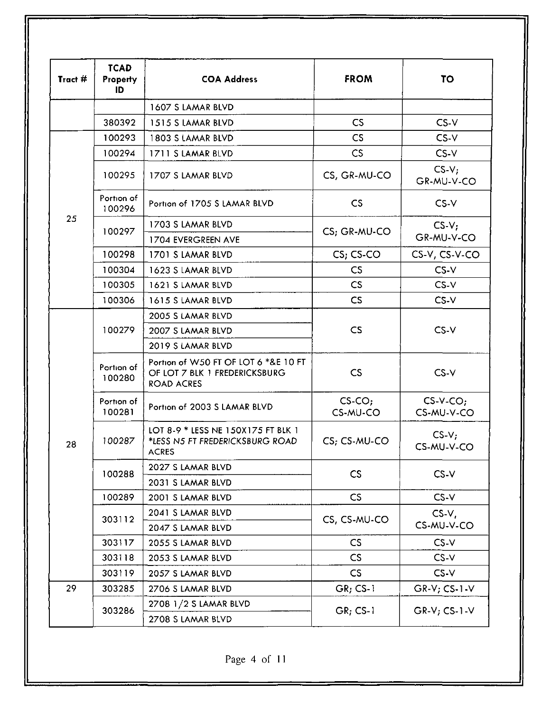| Tract # | <b>TCAD</b><br>Property<br>ID | <b>COA Address</b>                                                                         | <b>FROM</b>              | TO                       |
|---------|-------------------------------|--------------------------------------------------------------------------------------------|--------------------------|--------------------------|
|         |                               | 1607 S LAMAR BLVD                                                                          |                          |                          |
|         | 380392                        | 1515 S LAMAR BLVD                                                                          | CS                       | $CS-V$                   |
|         | 100293                        | 1803 S LAMAR BLVD                                                                          | C <sub>S</sub>           | CS-V                     |
|         | 100294                        | 1711 S LAMAR BLVD                                                                          | CS                       | $CS-V$                   |
|         | 100295                        | 1707 S LAMAR BLVD                                                                          | CS, GR-MU-CO             | $CS-V;$<br>GR-MU-V-CO    |
|         | Portion of<br>100296          | Portion of 1705 S LAMAR BLVD                                                               | $\mathsf{CS}\phantom{0}$ | $CS-V$                   |
| 25      | 100297                        | 1703 S LAMAR BLVD                                                                          | CS; GR-MU-CO             | $CS-Vi$                  |
|         |                               | 1704 EVERGREEN AVE                                                                         |                          | GR-MU-V-CO               |
|         | 100298                        | 1701 S LAMAR BLVD                                                                          | CS; CS-CO                | CS-V, CS-V-CO            |
|         | 100304                        | 1623 S LAMAR BLVD                                                                          | CS                       | $CS-V$                   |
|         | 100305                        | 1621 S LAMAR BLVD                                                                          | CS                       | $CS-V$                   |
|         | 100306                        | CS<br>1615 S LAMAR BLVD                                                                    |                          | $CS-V$                   |
|         | 100279                        | 2005 S LAMAR BLVD                                                                          |                          | $CS-V$                   |
|         |                               | 2007 S LAMAR BLVD                                                                          | CS                       |                          |
|         |                               | 2019 S LAMAR BLVD                                                                          |                          |                          |
|         | Portion of<br>100280          | Portion of W50 FT OF LOT 6 *&E 10 FT<br>OF LOT 7 BLK 1 FREDERICKSBURG<br><b>ROAD ACRES</b> | CS                       | $CS-V$                   |
|         | Portion of<br>100281          | Portion of 2003 S LAMAR BLVD                                                               | $CS$ -CO;<br>CS-MU-CO    | $CS-V-CO;$<br>CS-MU-V-CO |
| 28      | 100287                        | LOT 8-9 * LESS NE 150X175 FT BLK 1<br>*LESS N5 FT FREDERICKSBURG ROAD<br>ACRES             | CS; CS-MU-CO             | $CS-V:$<br>CS-MU-V-CO    |
|         | 100288                        | 2027 S LAMAR BLVD                                                                          | CS                       | $CS-V$                   |
|         |                               | 2031 S LAMAR BLVD                                                                          |                          |                          |
|         | 100289                        | 2001 S LAMAR BLVD                                                                          | CS                       | $CS-V$                   |
|         | 303112                        | 2041 S LAMAR BLVD                                                                          |                          | $CS-V,$<br>CS-MU-V-CO    |
|         |                               | 2047 S LAMAR BLVD                                                                          | CS, CS-MU-CO             |                          |
|         | 303117                        | 2055 S LAMAR BLVD                                                                          | CS                       | $CS-V$                   |
|         | 303118                        | 2053 S LAMAR BLVD                                                                          | CS                       | $CS-V$                   |
|         | 303119                        | 2057 S LAMAR BLVD                                                                          | CS                       | $CS-V$                   |
| 29      | 303285                        | 2706 S LAMAR BLVD                                                                          | $GR; CS-1$               | $GR-V; CS-1-V$           |
|         | 303286                        | 2708 1/2 S LAMAR BLVD                                                                      | $GR; CS-1$               | $GR-V$ ; $CS-1-V$        |
|         |                               | 2708 S LAMAR BLVD                                                                          |                          |                          |

Page 4 of II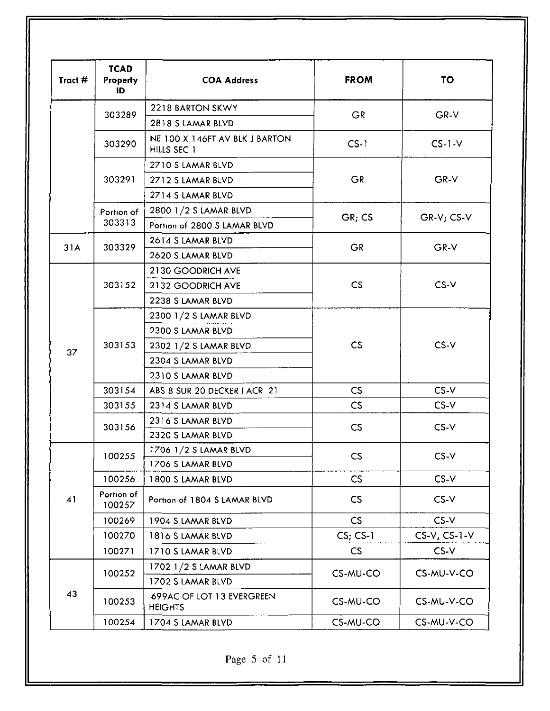| Tract # | <b>TCAD</b><br><b>Property</b><br>ID | <b>COA Address</b>                            | <b>FROM</b>              | <b>TO</b>       |
|---------|--------------------------------------|-----------------------------------------------|--------------------------|-----------------|
|         |                                      | 2218 BARTON SKWY                              |                          | GR-V            |
|         | 303289                               | 2818 S LAMAR BLVD                             | <b>GR</b>                |                 |
|         | 303290                               | NE 100 X 146FT AV BLK J BARTON<br>HILLS SEC 1 | $CS-1$                   | $CS-1-V$        |
|         |                                      | 2710 S LAMAR BLVD                             |                          | $GR-V$          |
|         | 303291                               | 2712 S LAMAR BLVD                             | <b>GR</b>                |                 |
|         |                                      | 2714 S LAMAR BLVD                             |                          |                 |
|         | Portion of                           | 2800 1/2 S LAMAR BLVD                         |                          |                 |
|         | 303313                               | Portion of 2800 S LAMAR BLVD                  | GR; CS                   | $GR-V$ ; $CS-V$ |
|         |                                      | 2614 S LAMAR BLVD                             |                          | GR-V            |
| 31A     | 303329                               | 2620 S LAMAR BLVD                             | <b>GR</b>                |                 |
|         |                                      | 2130 GOODRICH AVE                             |                          | CS-V            |
|         | 303152                               | 2132 GOODRICH AVE                             | CS                       |                 |
|         |                                      | 2238 S LAMAR BLVD                             |                          |                 |
|         |                                      | 2300 1/2 S LAMAR BLVD                         |                          | $CS-V$          |
|         | 303153                               | 2300 S LAMAR BLVD                             |                          |                 |
|         |                                      | 2302 1/2 S LAMAR BLVD                         | CS                       |                 |
| 37      |                                      | 2304 S LAMAR BLVD                             |                          |                 |
|         |                                      | 2310 S LAMAR BLVD                             |                          |                 |
|         | 303154                               | ABS 8 SUR 20 DECKER   ACR 21                  | CS.                      | CS-V            |
|         | 303155                               | 2314 S LAMAR BLVD                             | $\mathsf{CS}$            | $CS-V$          |
|         | 303156                               | 2316 S LAMAR BLVD                             |                          | $CS-V$          |
|         |                                      | 2320 S LAMAR BLVD                             | <b>CS</b>                |                 |
|         | 100255                               | 1706 1/2 S LAMAR BLVD                         |                          | $CS-V$          |
|         |                                      | 1706 S LAMAR BLVD                             | <b>CS</b>                |                 |
|         | 100256                               | 1800 S LAMAR BLVD                             | CS                       | $CS-V$          |
| 41      | Portion of<br>100257                 | Portion of 1804 S LAMAR BLVD                  | CS                       | $CS-V$          |
|         | 100269                               | 1904 S LAMAR BLVD                             | CS                       | $CS-V$          |
|         | 100270                               | 1816 S LAMAR BLVD                             | $CS; CS-1$               | $CS-V, CS-1-V$  |
|         | 100271                               | 1710 S LAMAR BLVD                             | $\mathsf{CS}\phantom{0}$ | $CS-V$          |
|         | 100252                               | 1702 1/2 S LAMAR BLVD                         |                          |                 |
|         |                                      | 1702 S LAMAR BLVD                             | CS-MU-CO                 | CS-MU-V-CO      |
| 43      | 100253                               | 699AC OF LOT 13 EVERGREEN<br><b>HEIGHTS</b>   | CS-MU-CO                 | CS-MU-V-CO      |
|         | 100254                               | 1704 S LAMAR BLVD                             | CS-MU-CO                 | CS-MU-V-CO      |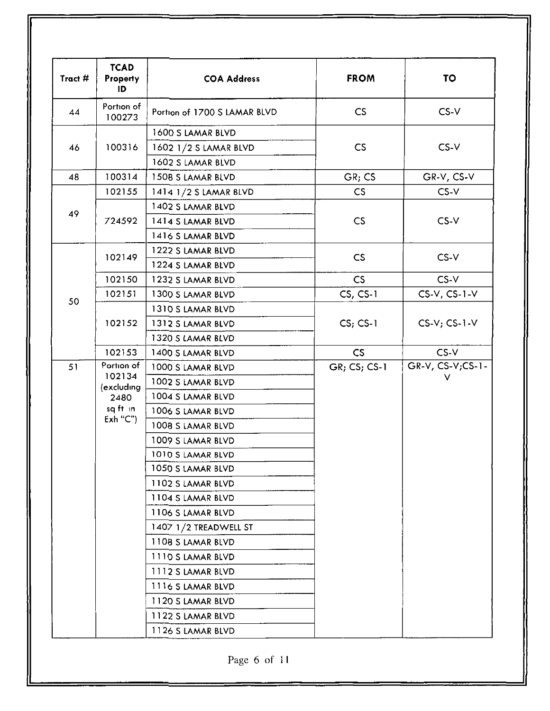| Tract # | <b>TCAD</b><br>Property<br>ID                                     | <b>COA Address</b>           | <b>FROM</b>    | <b>TO</b>           |  |
|---------|-------------------------------------------------------------------|------------------------------|----------------|---------------------|--|
| 44      | Portion of<br>100273                                              | Portion of 1700 S LAMAR BLVD | CS             | $CS-V$              |  |
|         |                                                                   | 1600 S LAMAR BLVD            |                |                     |  |
| 46      | 100316                                                            | 1602 1/2 S LAMAR BLVD        | <b>CS</b>      | $CS-V$              |  |
|         |                                                                   | 1602 S LAMAR BLVD            |                |                     |  |
| 48      | 100314                                                            | 1508 S LAMAR BLVD            | GR: CS         | GR-V, CS-V          |  |
|         | 102155                                                            | 1414 1/2 S LAMAR BLVD        | CS             | $CS-V$              |  |
|         |                                                                   | 1402 S LAMAR BLVD            |                |                     |  |
| 49      | 724592                                                            | 1414 S LAMAR BLVD            | CS             | $CS-V$              |  |
|         |                                                                   | 1416 S LAMAR BLVD            |                |                     |  |
|         |                                                                   | 1222 S LAMAR BLVD            |                |                     |  |
|         | 102149                                                            | 1224 S LAMAR BLVD            | CS             | $CS-V$              |  |
|         | 102150                                                            | 1232 S LAMAR BLVD            | CS             | $CS-V$              |  |
|         | 102151                                                            | 1300 S LAMAR BLVD            | $CS, CS-1$     | $CS-V$ , $CS-1-V$   |  |
| 50      | 102152                                                            | 1310 S LAMAR BLVD            |                | $CS-V$ ; $CS-1-V$   |  |
|         |                                                                   | 1312 S LAMAR BLVD            | $CS$ ; CS-1    |                     |  |
|         |                                                                   | 1320 S LAMAR BLVD            |                |                     |  |
|         | 102153                                                            | 1400 S LAMAR BLVD            | CS             | $CS-V$              |  |
| 51      | Portion of<br>102134<br>(excluding<br>2480<br>sq ft in<br>Exh''C' | 1000 S LAMAR BLVD            | $GR; CS; CS-1$ | $GR-V, CS-V; CS-1-$ |  |
|         |                                                                   | 1002 S LAMAR BLVD            |                | v                   |  |
|         |                                                                   | 1004 S LAMAR BLVD            |                |                     |  |
|         |                                                                   | 1006 S LAMAR BLVD            |                |                     |  |
|         |                                                                   | 1008 S LAMAR BLVD            |                |                     |  |
|         |                                                                   | 1009 S LAMAR BLVD            |                |                     |  |
|         |                                                                   | 1010 S LAMAR BLVD            |                |                     |  |
|         |                                                                   | 1050 S LAMAR BLVD            |                |                     |  |
|         |                                                                   | 1102 S LAMAR BLVD            |                |                     |  |
|         |                                                                   | 1104 S LAMAR BLVD            |                |                     |  |
|         |                                                                   | 1106 S LAMAR BLVD            |                |                     |  |
|         |                                                                   | 1407 1/2 TREADWELL ST        |                |                     |  |
|         |                                                                   | 1108 S LAMAR BLVD            |                |                     |  |
|         |                                                                   | 1110 S LAMAR BLVD            |                |                     |  |
|         |                                                                   | 1112 S LAMAR BLVD            |                |                     |  |
|         |                                                                   | 1116 S LAMAR BLVD            |                |                     |  |
|         |                                                                   | 1120 S LAMAR BLVD            |                |                     |  |
|         |                                                                   | 1122 S LAMAR BLVD            |                |                     |  |
|         |                                                                   | 1126 S LAMAR BLVD            |                |                     |  |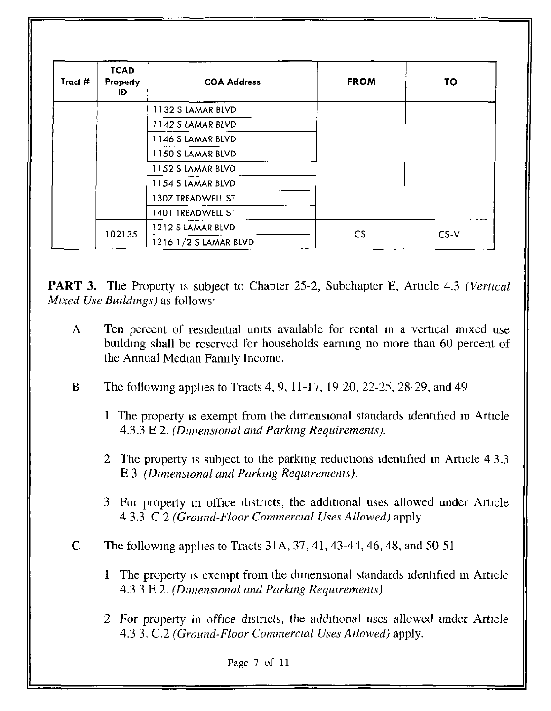| Tract # | <b>TCAD</b><br><b>Property</b><br>ID | <b>COA Address</b>    | <b>FROM</b>              | <b>TO</b> |  |
|---------|--------------------------------------|-----------------------|--------------------------|-----------|--|
|         |                                      | 1132 S LAMAR BLVD     |                          |           |  |
|         |                                      | 1142 S LAMAR BLVD     |                          |           |  |
|         |                                      | 1146 S LAMAR BLVD     |                          |           |  |
|         |                                      | 1150 S LAMAR BLVD     |                          |           |  |
|         |                                      | 1152 S LAMAR BLVD     |                          |           |  |
|         |                                      | 1154 S LAMAR BLVD     |                          |           |  |
|         |                                      | 1307 TREADWELL ST     |                          |           |  |
|         |                                      | 1401 TREADWELL ST     |                          |           |  |
|         | 102135                               | 1212 S LAMAR BLVD     | $\mathsf{CS}\phantom{0}$ | $CS-V$    |  |
|         |                                      | 1216 1/2 S LAMAR BLVD |                          |           |  |

**PART 3.** The Property is subject to Chapter 25-2, Subchapter E, Article 4.3 *(Vertical*) *Mixed Use Buildings*) as follows<sup>-</sup>

- A Ten percent of residential units available for rental in a vertical mixed use building shall be reserved for households earning no more than 60 percent of the Annual Median Family Income.
- B The followmg apphes to Tracts 4, 9, 11-17, 19-20, 22-25, 28-29, and 49
	- 1. The property is exempt from the dimensional standards identified in Article 4.3.3 E 2. *(Dzmenswnal and Parkmg Requirements).*
	- 2 The property is subject to the parking reductions identified in Article 4 3.3 E 3 *(Dimensional and Parking Requirements).*
	- 3 For property m office distncts, the add1t10nal uses allowed under Article 4 3.3 C 2 *(Ground-Floor Commercral Uses Allowed)* apply
- C The followmg apphes to Tracts 31A, 37, 41,43-44,46,48, and 50-51
	- 1 The property is exempt from the dimensional standards identified in Article 4.3 3 E 2. *(Dzmenswnal and Parkmg Requrrements)*
	- 2 For property in office distncts, the additional uses allowed under Article 4.3 3. C.2 *(Ground-Floor Commerctal Uses Allowed)* apply.

Page 7 of 11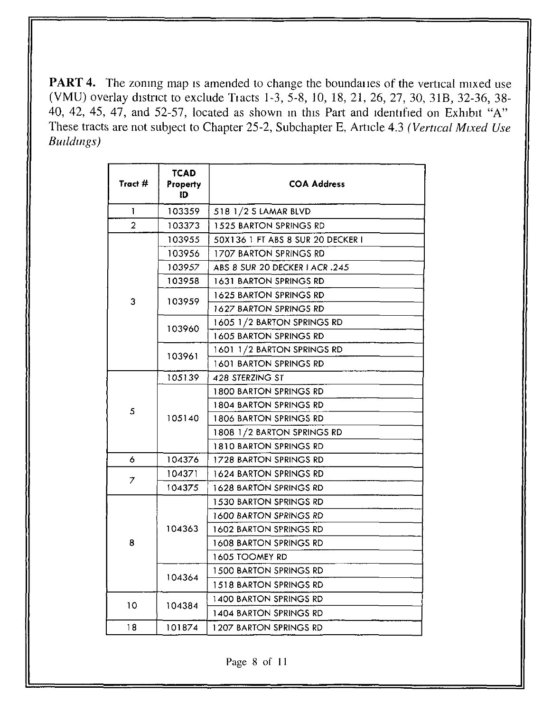**PART 4.** The zoning map is amended to change the boundanies of the vertical mixed use (VMU) overlay d1stnct to exclude Tiacts 1-3, 5-8, 10, 18, 21, 26, 27, 30, 31B, 32-36, 38- 40, 42, 45, 47, and 52-57, located as shown in this Part and identified on Exhibit "A" These tracts are not subject to Chapter 25-2, Subchapter E, Article 4.3 *(Vertical Mixed Use Butldmgs)* 

| T<br>103359<br>518 1/2 S LAMAR BLVD<br>$\overline{2}$<br>103373<br>1525 BARTON SPRINGS RD<br>103955<br>50X136 1 FT ABS 8 SUR 20 DECKER I |  |
|------------------------------------------------------------------------------------------------------------------------------------------|--|
|                                                                                                                                          |  |
|                                                                                                                                          |  |
|                                                                                                                                          |  |
| 103956<br><b>1707 BARTON SPRINGS RD</b>                                                                                                  |  |
| 103957<br>ABS 8 SUR 20 DECKER I ACR.245                                                                                                  |  |
| 103958<br>1631 BARTON SPRINGS RD                                                                                                         |  |
| 1625 BARTON SPRINGS RD                                                                                                                   |  |
| 3<br>103959<br>1627 BARTON SPRINGS RD                                                                                                    |  |
| 1605 1/2 BARTON SPRINGS RD<br>103960                                                                                                     |  |
| 1605 BARTON SPRINGS RD                                                                                                                   |  |
| 1601 1/2 BARTON SPRINGS RD<br>103961                                                                                                     |  |
| 1601 BARTON SPRINGS RD                                                                                                                   |  |
| 105139<br>428 STERZING ST                                                                                                                |  |
| <b>1800 BARTON SPRINGS RD</b>                                                                                                            |  |
| 1804 BARTON SPRINGS RD<br>5                                                                                                              |  |
| 105140<br>1806 BARTON SPRINGS RD                                                                                                         |  |
| 1808 1/2 BARTON SPRINGS RD                                                                                                               |  |
| 1810 BARTON SPRINGS RD                                                                                                                   |  |
| 6<br>104376<br>1728 BARTON SPRINGS RD                                                                                                    |  |
| 104371<br><b>1624 BARTON SPRINGS RD</b><br>7                                                                                             |  |
| 104375<br>1628 BARTON SPRINGS RD                                                                                                         |  |
| 1530 BARTON SPRINGS RD                                                                                                                   |  |
| <b>1600 BARTON SPRINGS RD</b>                                                                                                            |  |
| 104363<br>1602 BARTON SPRINGS RD                                                                                                         |  |
| 8<br>1608 BARTON SPRINGS RD                                                                                                              |  |
| <b>1605 TOOMEY RD</b>                                                                                                                    |  |
| <b>1500 BARTON SPRINGS RD</b><br>104364                                                                                                  |  |
| 1518 BARTON SPRINGS RD                                                                                                                   |  |
| 1400 BARTON SPRINGS RD<br>10<br>104384                                                                                                   |  |
| 1404 BARTON SPRINGS RD                                                                                                                   |  |
| 18<br>101874<br>1207 BARTON SPRINGS RD                                                                                                   |  |

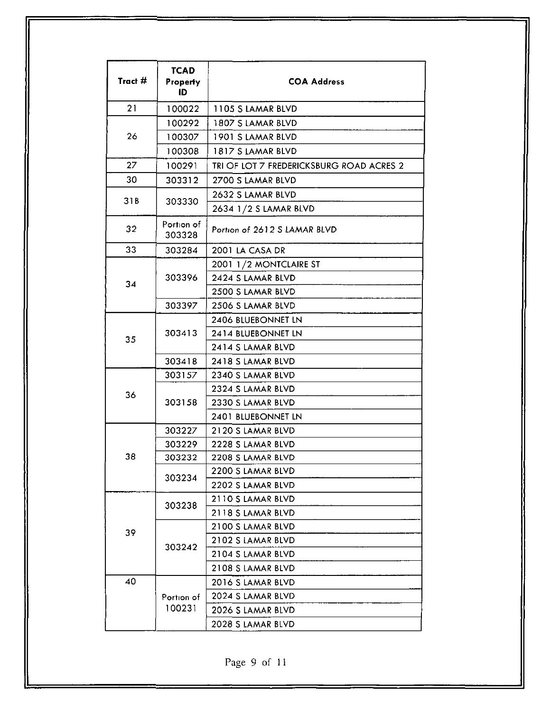| Tract $#$ | <b>TCAD</b><br>Property<br>ID | <b>COA Address</b>                       |
|-----------|-------------------------------|------------------------------------------|
| 21        | 100022                        | 1105 S LAMAR BLVD                        |
|           | 100292                        | 1807 S LAMAR BLVD                        |
| 26        | 100307                        | 1901 S LAMAR BLVD                        |
|           | 100308                        | 1817 S LAMAR BLVD                        |
| 27        | 100291                        | TRI OF LOT 7 FREDERICKSBURG ROAD ACRES 2 |
| 30        | 303312                        | 2700 S LAMAR BLVD                        |
|           |                               | 2632 S LAMAR BLVD                        |
| 31B       | 303330                        | 2634 1/2 S LAMAR BLVD                    |
| 32        | Portion of<br>303328          | Portion of 2612 S LAMAR BLVD             |
| 33        | 303284                        | 2001 LA CASA DR                          |
|           |                               | 2001 1/2 MONTCLAIRE ST                   |
| 34        | 303396                        | 2424 S LAMAR BLVD                        |
|           |                               | 2500 S LAMAR BLVD                        |
|           | 303397                        | 2506 S LAMAR BLVD                        |
|           | 303413                        | 2406 BLUEBONNET LN                       |
| 35        |                               | 2414 BLUEBONNET LN                       |
|           |                               | 2414 S LAMAR BLVD                        |
|           | 303418                        | 2418 S LAMAR BLVD                        |
|           | 303157                        | 2340 S LAMAR BLVD                        |
| 36        |                               | 2324 S LAMAR BLVD                        |
|           | 303158                        | 2330 S LAMAR BLVD                        |
|           |                               | 2401 BLUEBONNET LN                       |
|           | 303227                        | 2120 S LAMAR BLVD                        |
|           | 303229                        | 2228 S LAMAR BLVD                        |
| 38        | 303232                        | 2208 S LAMAR BLVD                        |
|           | 303234                        | 2200 S LAMAR BLVD                        |
|           |                               | 2202 S LAMAR BLVD                        |
|           | 303238                        | 2110 S LAMAR BLVD                        |
|           |                               | 2118 S LAMAR BLVD                        |
| 39        |                               | 2100 S LAMAR BLVD                        |
|           | 303242                        | 2102 S LAMAR BLVD                        |
|           |                               | 2104 S LAMAR BLVD                        |
| 40        |                               | 2108 S LAMAR BLVD                        |
|           |                               | 2016 S LAMAR BLVD                        |
|           | Portion of<br>100231          | 2024 S LAMAR BLVD                        |
|           |                               | 2026 S LAMAR BLVD                        |
|           |                               | 2028 S LAMAR BLVD                        |

Page 9 of 11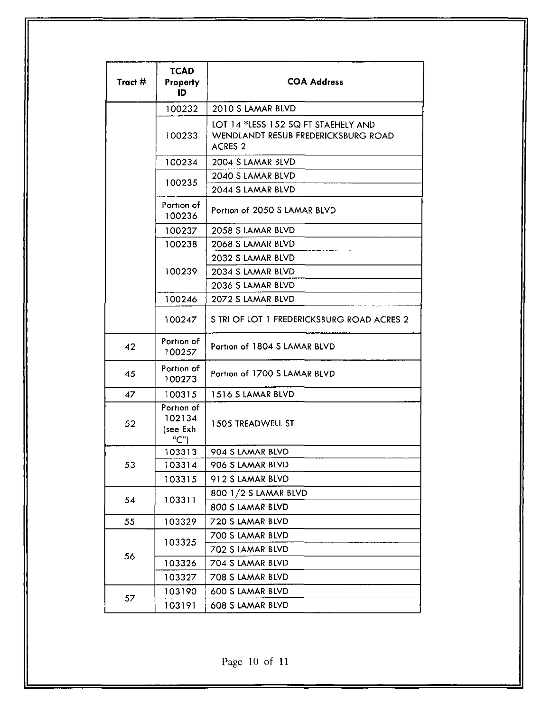| Tract $#$ | <b>TCAD</b><br><b>Property</b><br>ID     | <b>COA Address</b>                                                                           |
|-----------|------------------------------------------|----------------------------------------------------------------------------------------------|
|           | 100232                                   | 2010 S LAMAR BLVD                                                                            |
|           | 100233                                   | LOT 14 *LESS 152 SQ FT STAEHELY AND<br>WENDLANDT RESUB FREDERICKSBURG ROAD<br><b>ACRES 2</b> |
|           | 100234                                   | 2004 S LAMAR BLVD                                                                            |
|           | 100235                                   | 2040 S LAMAR BLVD                                                                            |
|           |                                          | 2044 S LAMAR BLVD                                                                            |
|           | Portion of<br>100236                     | Portion of 2050 S LAMAR BLVD                                                                 |
|           | 100237                                   | 2058 S LAMAR BLVD                                                                            |
|           | 100238                                   | 2068 S LAMAR BLVD                                                                            |
|           |                                          | 2032 S LAMAR BLVD                                                                            |
|           | 100239                                   | 2034 S LAMAR BLVD                                                                            |
|           |                                          | 2036 S LAMAR BLVD                                                                            |
|           | 100246                                   | 2072 S LAMAR BLVD                                                                            |
|           | 100247                                   | S TRI OF LOT 1 FREDERICKSBURG ROAD ACRES 2                                                   |
| 42        | Portion of<br>100257                     | Portion of 1804 S LAMAR BLVD                                                                 |
| 45        | Portion of<br>100273                     | Portion of 1700 S LAMAR BLVD                                                                 |
| 47        | 100315                                   | 1516 S LAMAR BLVD                                                                            |
| 52        | Portion of<br>102134<br>(see Exh<br>(C") | 1505 TREADWELL ST                                                                            |
|           | 103313                                   | 904 S LAMAR BLVD                                                                             |
| 53        | 103314                                   | 906 S LAMAR BLVD                                                                             |
|           | 103315                                   | 912 S LAMAR BLVD                                                                             |
| 54        | 103311                                   | 800 1/2 S LAMAR BLVD                                                                         |
|           |                                          | 800 S LAMAR BLVD                                                                             |
| 55        | 103329                                   | 720 S LAMAR BLVD                                                                             |
|           | 103325                                   | 700 S LAMAR BLVD                                                                             |
| 56        |                                          | 702 S LAMAR BLVD                                                                             |
|           | 103326                                   | 704 S LAMAR BLVD                                                                             |
|           | 103327                                   | 708 S LAMAR BLVD                                                                             |
| 57        | 103190                                   | 600 S LAMAR BLVD                                                                             |
|           | 103191                                   | 608 S LAMAR BLVD                                                                             |

Page 10 of 11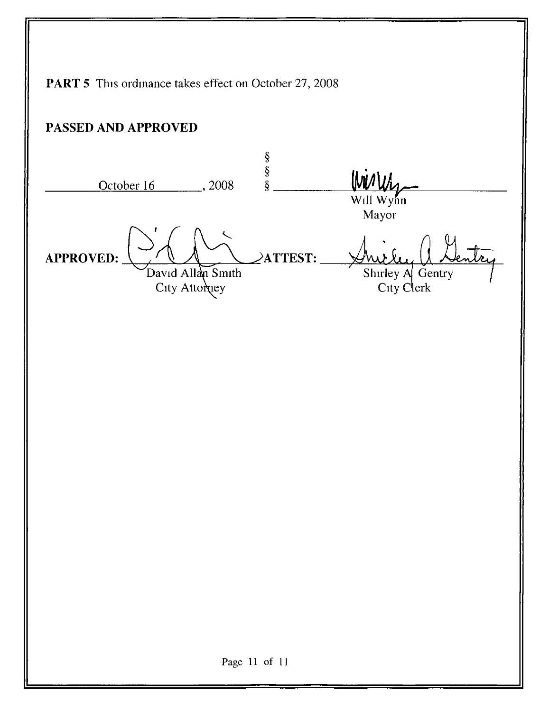**PART 5** This ordinance takes effect on October 27, 2008 PASSED AND APPROVED  $\frac{8}{8}$ Wirly October 16 \_\_\_\_\_\_\_, 2008 Will Wynn Mayor **APPROVED:**  $\angle$ ATTEST: Shirley A Gentry<br>City Clerk David Allan Smith City Attomey Page 11 of 11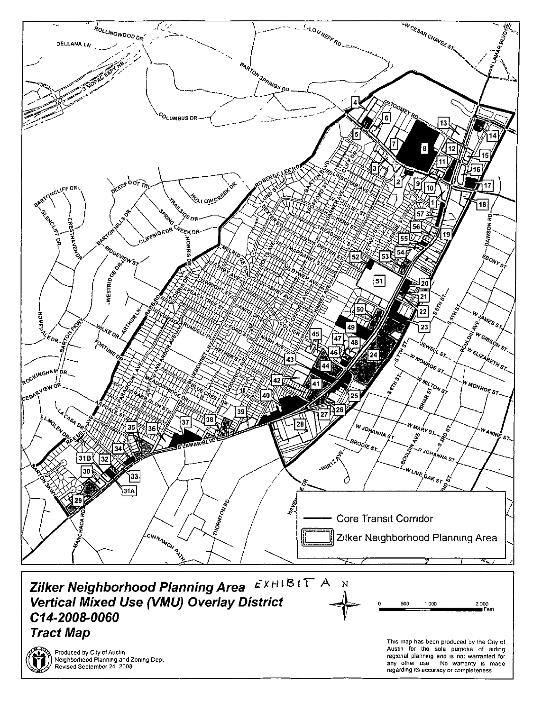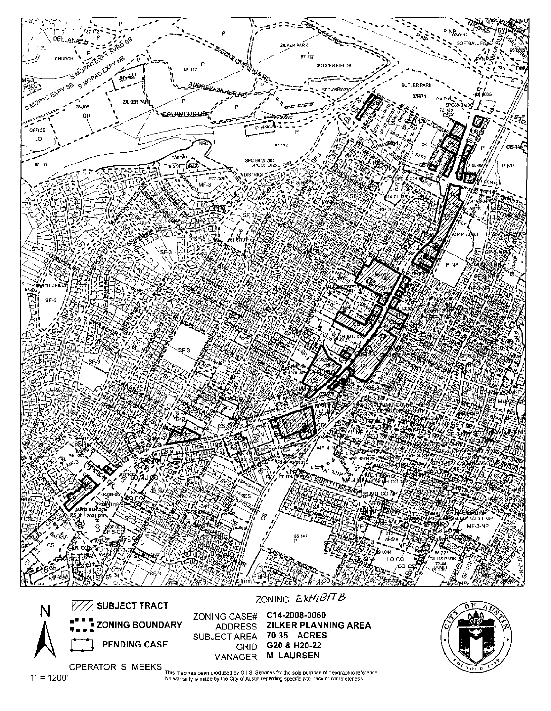

OPERATOR S MEEKS<br>This map has been produced by G I S Services for the sole purpose of geographic reference<br>No warranty is made by the City of Austin regarding specific accuracy or completeness

 $1" = 1200'$